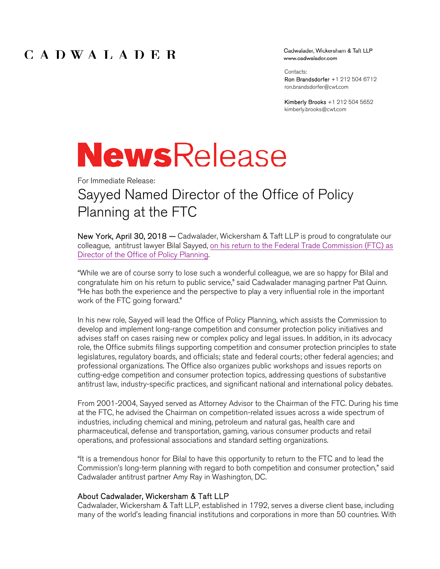### CADWALADER

Cadwalader, Wickersham & Taft LLP www.cadwalader.com

Contacts:

Ron Brandsdorfer +1 212 504 6712 ron.brandsdorfer@cwt.com

Kimberly Brooks +1 212 504 5652 kimberly.brooks@cwt.com

# **NewsRelease**

For Immediate Release:

# Sayyed Named Director of the Office of Policy Planning at the FTC

New York, April 30, 2018 – Cadwalader, Wickersham & Taft LLP is proud to congratulate our colleague, antitrust lawyer Bilal Sayyed, on his return to the Federal Trade Commission (FTC) as Director of the Office of Policy Planning.

"While we are of course sorry to lose such a wonderful colleague, we are so happy for Bilal and congratulate him on his return to public service," said Cadwalader managing partner Pat Quinn. "He has both the experience and the perspective to play a very influential role in the important work of the FTC going forward."

In his new role, Sayyed will lead the Office of Policy Planning, which assists the Commission to develop and implement long-range competition and consumer protection policy initiatives and advises staff on cases raising new or complex policy and legal issues. In addition, in its advocacy role, the Office submits filings supporting competition and consumer protection principles to state legislatures, regulatory boards, and officials; state and federal courts; other federal agencies; and professional organizations. The Office also organizes public workshops and issues reports on cutting-edge competition and consumer protection topics, addressing questions of substantive antitrust law, industry-specific practices, and significant national and international policy debates.

From 2001-2004, Sayyed served as Attorney Advisor to the Chairman of the FTC. During his time at the FTC, he advised the Chairman on competition-related issues across a wide spectrum of industries, including chemical and mining, petroleum and natural gas, health care and pharmaceutical, defense and transportation, gaming, various consumer products and retail operations, and professional associations and standard setting organizations.

"It is a tremendous honor for Bilal to have this opportunity to return to the FTC and to lead the Commission's long-term planning with regard to both competition and consumer protection," said Cadwalader antitrust partner Amy Ray in Washington, DC.

#### About Cadwalader, Wickersham & Taft LLP

Cadwalader, Wickersham & Taft LLP, established in 1792, serves a diverse client base, including many of the world's leading financial institutions and corporations in more than 50 countries. With